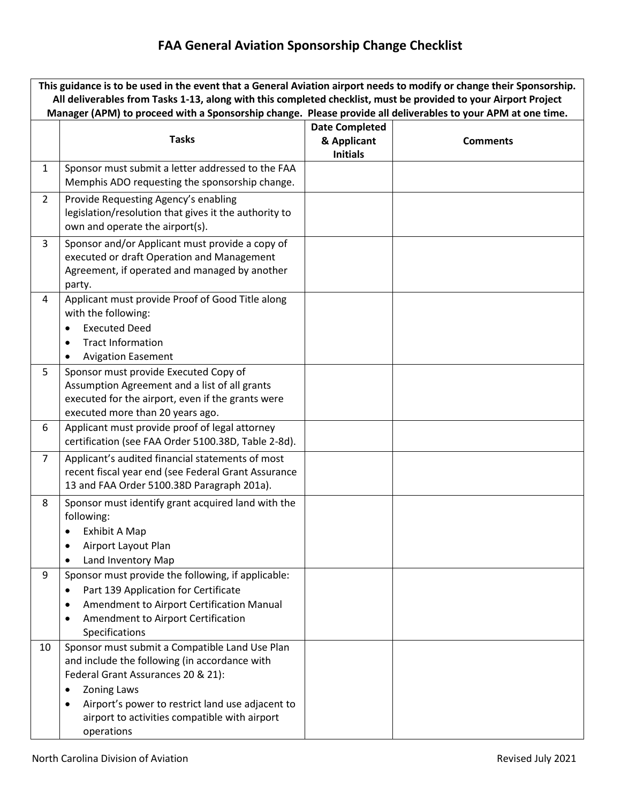# **FAA General Aviation Sponsorship Change Checklist**

| This guidance is to be used in the event that a General Aviation airport needs to modify or change their Sponsorship.<br>All deliverables from Tasks 1-13, along with this completed checklist, must be provided to your Airport Project |                                                                                                                                                                                                                                                                                                  |                                                         |                 |  |  |  |  |  |  |  |
|------------------------------------------------------------------------------------------------------------------------------------------------------------------------------------------------------------------------------------------|--------------------------------------------------------------------------------------------------------------------------------------------------------------------------------------------------------------------------------------------------------------------------------------------------|---------------------------------------------------------|-----------------|--|--|--|--|--|--|--|
| Manager (APM) to proceed with a Sponsorship change. Please provide all deliverables to your APM at one time.                                                                                                                             |                                                                                                                                                                                                                                                                                                  |                                                         |                 |  |  |  |  |  |  |  |
|                                                                                                                                                                                                                                          | <b>Tasks</b>                                                                                                                                                                                                                                                                                     | <b>Date Completed</b><br>& Applicant<br><b>Initials</b> | <b>Comments</b> |  |  |  |  |  |  |  |
| $\mathbf{1}$                                                                                                                                                                                                                             | Sponsor must submit a letter addressed to the FAA<br>Memphis ADO requesting the sponsorship change.                                                                                                                                                                                              |                                                         |                 |  |  |  |  |  |  |  |
| $\overline{2}$                                                                                                                                                                                                                           | Provide Requesting Agency's enabling<br>legislation/resolution that gives it the authority to<br>own and operate the airport(s).                                                                                                                                                                 |                                                         |                 |  |  |  |  |  |  |  |
| 3                                                                                                                                                                                                                                        | Sponsor and/or Applicant must provide a copy of<br>executed or draft Operation and Management<br>Agreement, if operated and managed by another<br>party.                                                                                                                                         |                                                         |                 |  |  |  |  |  |  |  |
| 4                                                                                                                                                                                                                                        | Applicant must provide Proof of Good Title along<br>with the following:<br><b>Executed Deed</b><br><b>Tract Information</b><br>٠<br><b>Avigation Easement</b>                                                                                                                                    |                                                         |                 |  |  |  |  |  |  |  |
| 5                                                                                                                                                                                                                                        | Sponsor must provide Executed Copy of<br>Assumption Agreement and a list of all grants<br>executed for the airport, even if the grants were<br>executed more than 20 years ago.                                                                                                                  |                                                         |                 |  |  |  |  |  |  |  |
| 6                                                                                                                                                                                                                                        | Applicant must provide proof of legal attorney<br>certification (see FAA Order 5100.38D, Table 2-8d).                                                                                                                                                                                            |                                                         |                 |  |  |  |  |  |  |  |
| $\overline{7}$                                                                                                                                                                                                                           | Applicant's audited financial statements of most<br>recent fiscal year end (see Federal Grant Assurance<br>13 and FAA Order 5100.38D Paragraph 201a).                                                                                                                                            |                                                         |                 |  |  |  |  |  |  |  |
| 8<br>9                                                                                                                                                                                                                                   | Sponsor must identify grant acquired land with the<br>following:<br>Exhibit A Map<br>Airport Layout Plan<br>Land Inventory Map<br>$\bullet$<br>Sponsor must provide the following, if applicable:                                                                                                |                                                         |                 |  |  |  |  |  |  |  |
|                                                                                                                                                                                                                                          | Part 139 Application for Certificate<br>٠<br>Amendment to Airport Certification Manual<br>٠<br>Amendment to Airport Certification<br>$\bullet$<br>Specifications                                                                                                                                 |                                                         |                 |  |  |  |  |  |  |  |
| 10                                                                                                                                                                                                                                       | Sponsor must submit a Compatible Land Use Plan<br>and include the following (in accordance with<br>Federal Grant Assurances 20 & 21):<br><b>Zoning Laws</b><br>٠<br>Airport's power to restrict land use adjacent to<br>$\bullet$<br>airport to activities compatible with airport<br>operations |                                                         |                 |  |  |  |  |  |  |  |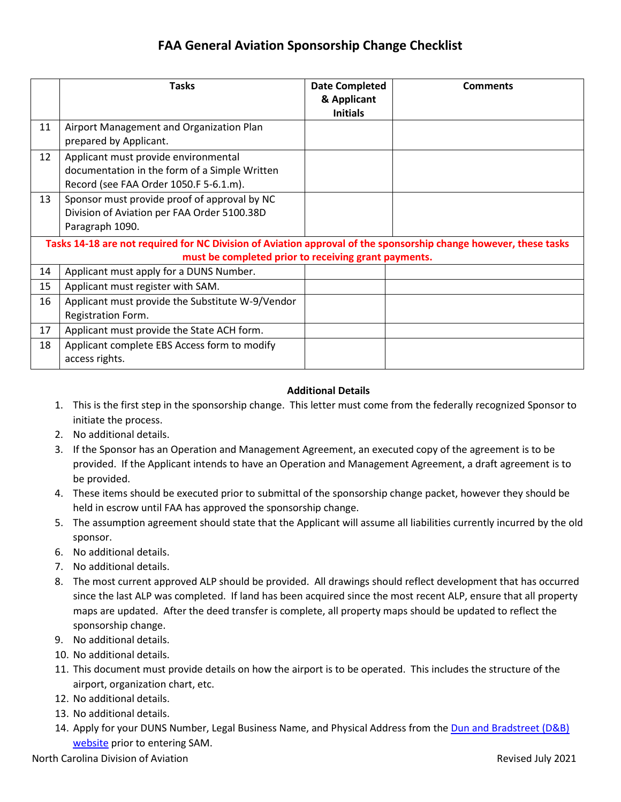## **FAA General Aviation Sponsorship Change Checklist**

|                                                                                                                                                                          | <b>Tasks</b>                                                                                                                    | <b>Date Completed</b><br>& Applicant<br><b>Initials</b> | <b>Comments</b> |  |  |  |  |  |  |
|--------------------------------------------------------------------------------------------------------------------------------------------------------------------------|---------------------------------------------------------------------------------------------------------------------------------|---------------------------------------------------------|-----------------|--|--|--|--|--|--|
| 11                                                                                                                                                                       | Airport Management and Organization Plan<br>prepared by Applicant.                                                              |                                                         |                 |  |  |  |  |  |  |
| 12                                                                                                                                                                       | Applicant must provide environmental<br>documentation in the form of a Simple Written<br>Record (see FAA Order 1050.F 5-6.1.m). |                                                         |                 |  |  |  |  |  |  |
| 13                                                                                                                                                                       | Sponsor must provide proof of approval by NC<br>Division of Aviation per FAA Order 5100.38D<br>Paragraph 1090.                  |                                                         |                 |  |  |  |  |  |  |
| Tasks 14-18 are not required for NC Division of Aviation approval of the sponsorship change however, these tasks<br>must be completed prior to receiving grant payments. |                                                                                                                                 |                                                         |                 |  |  |  |  |  |  |
| 14                                                                                                                                                                       | Applicant must apply for a DUNS Number.                                                                                         |                                                         |                 |  |  |  |  |  |  |
| 15                                                                                                                                                                       | Applicant must register with SAM.                                                                                               |                                                         |                 |  |  |  |  |  |  |
| 16                                                                                                                                                                       | Applicant must provide the Substitute W-9/Vendor<br>Registration Form.                                                          |                                                         |                 |  |  |  |  |  |  |
| 17                                                                                                                                                                       | Applicant must provide the State ACH form.                                                                                      |                                                         |                 |  |  |  |  |  |  |
| 18                                                                                                                                                                       | Applicant complete EBS Access form to modify<br>access rights.                                                                  |                                                         |                 |  |  |  |  |  |  |

### **Additional Details**

- 1. This is the first step in the sponsorship change. This letter must come from the federally recognized Sponsor to initiate the process.
- 2. No additional details.
- 3. If the Sponsor has an Operation and Management Agreement, an executed copy of the agreement is to be provided. If the Applicant intends to have an Operation and Management Agreement, a draft agreement is to be provided.
- 4. These items should be executed prior to submittal of the sponsorship change packet, however they should be held in escrow until FAA has approved the sponsorship change.
- 5. The assumption agreement should state that the Applicant will assume all liabilities currently incurred by the old sponsor.
- 6. No additional details.
- 7. No additional details.
- 8. The most current approved ALP should be provided. All drawings should reflect development that has occurred since the last ALP was completed. If land has been acquired since the most recent ALP, ensure that all property maps are updated. After the deed transfer is complete, all property maps should be updated to reflect the sponsorship change.
- 9. No additional details.
- 10. No additional details.
- 11. This document must provide details on how the airport is to be operated. This includes the structure of the airport, organization chart, etc.
- 12. No additional details.
- 13. No additional details.
- 14. Apply for your DUNS Number, Legal Business Name, and Physical Address from th[e Dun and Bradstreet \(D&B\)](http://fedgov.dnb.com/webform/) [website](http://fedgov.dnb.com/webform/) prior to entering SAM.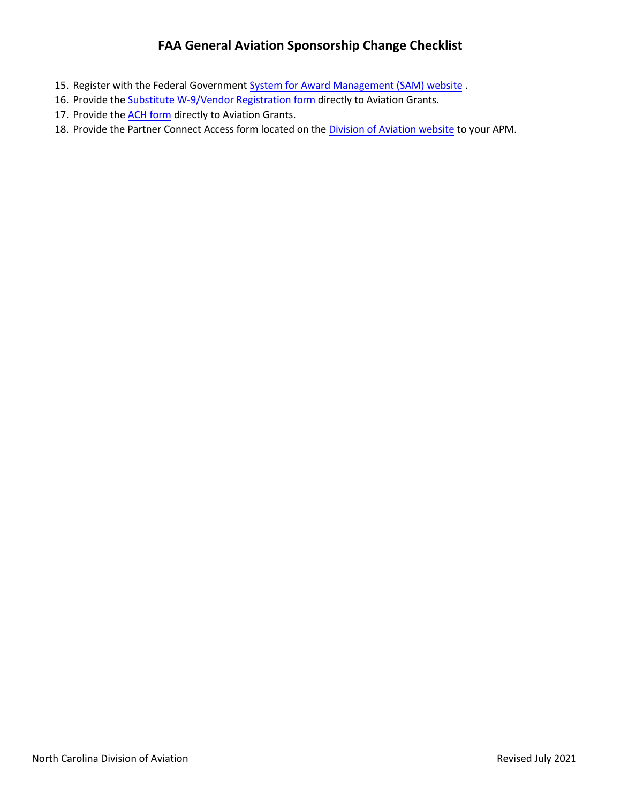## **FAA General Aviation Sponsorship Change Checklist**

- 15. Register with the Federal Government [System for Award Management \(SAM\) website](https://www.sam.gov/SAM/).
- 16. Provide the [Substitute W-9/Vendor Registration](https://connect.ncdot.gov/projects/planning/tpb%20systems%20planning/cmaq%20vendor%20registration%20form.pdf) form directly to Aviation Grants.
- 17. Provide the [ACH form](#page-3-0) directly to Aviation Grants.
- 18. Provide the Partner Connect Access form located on the [Division of Aviation website](https://connect.ncdot.gov/municipalities/State-Airport-Aid/Pages/default.aspx) to your APM.